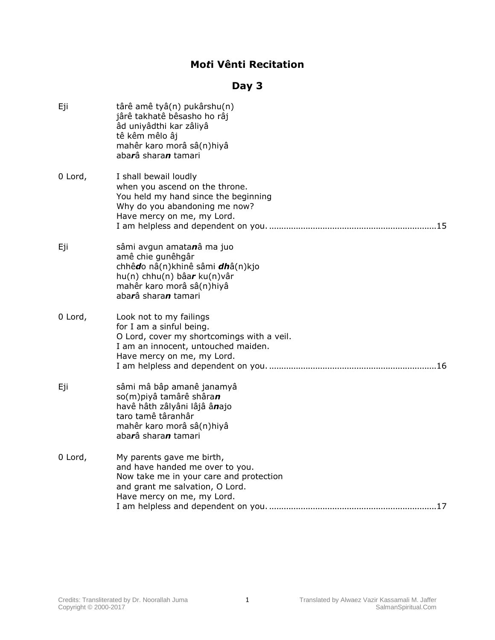## **Mo***t***i Vênti Recitation**

## **Day 3**

| Eji     | târê amê tyâ(n) pukârshu(n)<br>jârê takhatê bêsasho ho râj<br>âd uniyâdthi kar zâliyâ<br>tê kêm mêlo âj<br>mahêr karo morâ sâ(n)hiyâ<br>abarâ sharan tamari                     |
|---------|---------------------------------------------------------------------------------------------------------------------------------------------------------------------------------|
| 0 Lord, | I shall bewail loudly<br>when you ascend on the throne.<br>You held my hand since the beginning<br>Why do you abandoning me now?<br>Have mercy on me, my Lord.                  |
| Eji     | sâmi avgun amatanâ ma juo<br>amê chie gunêhgâr<br>chhêdo nâ(n)khinê sâmi dhâ(n)kjo<br>$hu(n)$ chhu $(n)$ bâar ku $(n)$ vâr<br>mahêr karo morâ sâ(n)hiyâ<br>abarâ sharan tamari  |
| 0 Lord, | Look not to my failings<br>for I am a sinful being.<br>O Lord, cover my shortcomings with a veil.<br>I am an innocent, untouched maiden.<br>Have mercy on me, my Lord.          |
| Eji     | sâmi mâ bâp amanê janamyâ<br>so(m)piyâ tamârê shâran<br>havê hâth zâlyâni lâjâ ânajo<br>taro tamê târanhâr<br>mahêr karo morâ sâ(n)hiyâ<br>aba <b>r</b> â shara <b>n</b> tamari |
| 0 Lord, | My parents gave me birth,<br>and have handed me over to you.<br>Now take me in your care and protection<br>and grant me salvation, O Lord.<br>Have mercy on me, my Lord.        |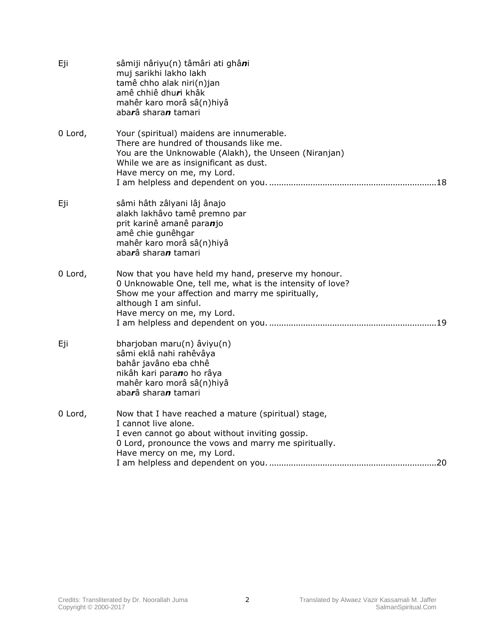| Eji     | sâmiji nâriyu(n) tâmâri ati ghâni<br>muj sarikhi lakho lakh<br>tamê chho alak niri(n)jan<br>amê chhiê dhuri khâk<br>mahêr karo morâ sâ(n)hiyâ<br>abarâ sharan tamari                                                        |
|---------|-----------------------------------------------------------------------------------------------------------------------------------------------------------------------------------------------------------------------------|
| 0 Lord, | Your (spiritual) maidens are innumerable.<br>There are hundred of thousands like me.<br>You are the Unknowable (Alakh), the Unseen (Niranjan)<br>While we are as insignificant as dust.<br>Have mercy on me, my Lord.       |
| Eji     | sâmi hâth zâlyani lâj ânajo<br>alakh lakhâvo tamê premno par<br>prit karinê amanê paranjo<br>amê chie gunêhgar<br>mahêr karo morâ sâ(n)hiyâ<br>abarâ sharan tamari                                                          |
| 0 Lord, | Now that you have held my hand, preserve my honour.<br>0 Unknowable One, tell me, what is the intensity of love?<br>Show me your affection and marry me spiritually,<br>although I am sinful.<br>Have mercy on me, my Lord. |
| Eji     | bharjoban maru(n) âviyu(n)<br>sâmi eklâ nahi rahêvâya<br>bahâr javâno eba chhê<br>nikâh kari parano ho râya<br>mahêr karo morâ sâ(n)hiyâ<br>abarâ sharan tamari                                                             |
| 0 Lord, | Now that I have reached a mature (spiritual) stage,<br>I cannot live alone.<br>I even cannot go about without inviting gossip.<br>0 Lord, pronounce the vows and marry me spiritually.<br>Have mercy on me, my Lord.        |